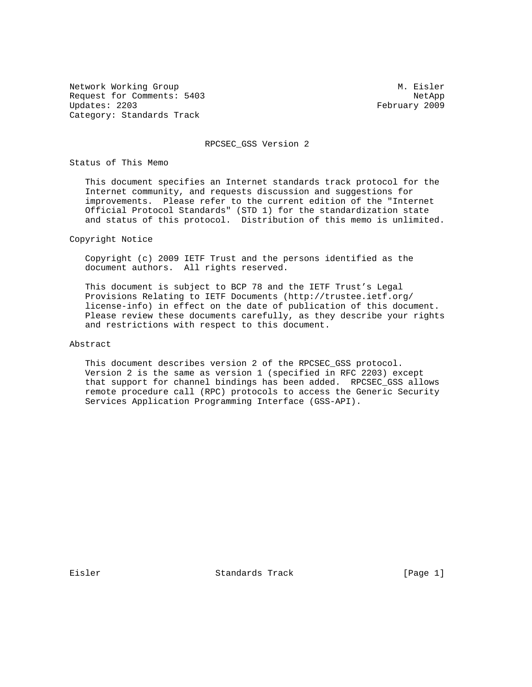Network Working Group Methods and M. Eisler Request for Comments: 5403 NetApp<br>Updates: 2203 February 2009 Category: Standards Track

February 2009

RPCSEC\_GSS Version 2

Status of This Memo

 This document specifies an Internet standards track protocol for the Internet community, and requests discussion and suggestions for improvements. Please refer to the current edition of the "Internet Official Protocol Standards" (STD 1) for the standardization state and status of this protocol. Distribution of this memo is unlimited.

Copyright Notice

 Copyright (c) 2009 IETF Trust and the persons identified as the document authors. All rights reserved.

 This document is subject to BCP 78 and the IETF Trust's Legal Provisions Relating to IETF Documents (http://trustee.ietf.org/ license-info) in effect on the date of publication of this document. Please review these documents carefully, as they describe your rights and restrictions with respect to this document.

Abstract

 This document describes version 2 of the RPCSEC\_GSS protocol. Version 2 is the same as version 1 (specified in RFC 2203) except that support for channel bindings has been added. RPCSEC\_GSS allows remote procedure call (RPC) protocols to access the Generic Security Services Application Programming Interface (GSS-API).

Eisler Standards Track [Page 1]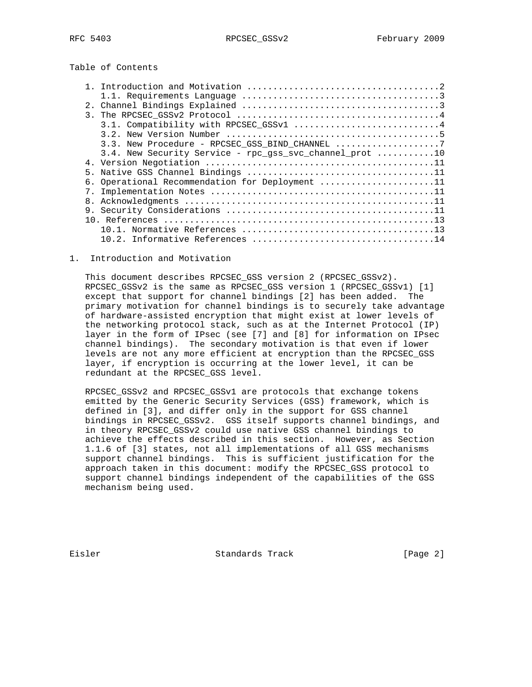Table of Contents

| 2.1           |                                                         |
|---------------|---------------------------------------------------------|
| $\mathcal{R}$ |                                                         |
|               | 3.1. Compatibility with RPCSEC_GSSv1 4                  |
|               |                                                         |
|               | 3.3. New Procedure - RPCSEC GSS BIND CHANNEL 7          |
|               | 3.4. New Security Service - rpc_gss_svc_channel_prot 10 |
|               |                                                         |
|               |                                                         |
|               | 6. Operational Recommendation for Deployment 11         |
|               |                                                         |
|               |                                                         |
| 9.            |                                                         |
|               |                                                         |
|               |                                                         |
|               |                                                         |
|               |                                                         |

### 1. Introduction and Motivation

 This document describes RPCSEC\_GSS version 2 (RPCSEC\_GSSv2). RPCSEC\_GSSv2 is the same as RPCSEC\_GSS version 1 (RPCSEC\_GSSv1) [1] except that support for channel bindings [2] has been added. The primary motivation for channel bindings is to securely take advantage of hardware-assisted encryption that might exist at lower levels of the networking protocol stack, such as at the Internet Protocol (IP) layer in the form of IPsec (see [7] and [8] for information on IPsec channel bindings). The secondary motivation is that even if lower levels are not any more efficient at encryption than the RPCSEC\_GSS layer, if encryption is occurring at the lower level, it can be redundant at the RPCSEC\_GSS level.

 RPCSEC\_GSSv2 and RPCSEC\_GSSv1 are protocols that exchange tokens emitted by the Generic Security Services (GSS) framework, which is defined in [3], and differ only in the support for GSS channel bindings in RPCSEC\_GSSv2. GSS itself supports channel bindings, and in theory RPCSEC\_GSSv2 could use native GSS channel bindings to achieve the effects described in this section. However, as Section 1.1.6 of [3] states, not all implementations of all GSS mechanisms support channel bindings. This is sufficient justification for the approach taken in this document: modify the RPCSEC\_GSS protocol to support channel bindings independent of the capabilities of the GSS mechanism being used.

Eisler Standards Track [Page 2]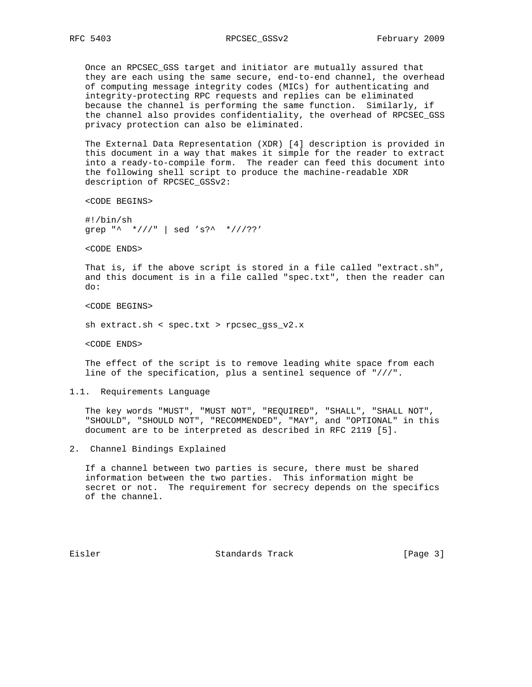Once an RPCSEC\_GSS target and initiator are mutually assured that they are each using the same secure, end-to-end channel, the overhead of computing message integrity codes (MICs) for authenticating and integrity-protecting RPC requests and replies can be eliminated because the channel is performing the same function. Similarly, if the channel also provides confidentiality, the overhead of RPCSEC\_GSS privacy protection can also be eliminated.

 The External Data Representation (XDR) [4] description is provided in this document in a way that makes it simple for the reader to extract into a ready-to-compile form. The reader can feed this document into the following shell script to produce the machine-readable XDR description of RPCSEC\_GSSv2:

<CODE BEGINS>

 #!/bin/sh grep "^ \*///" | sed 's?^ \*///??'

<CODE ENDS>

 That is, if the above script is stored in a file called "extract.sh", and this document is in a file called "spec.txt", then the reader can do:

<CODE BEGINS>

sh extract.sh < spec.txt > rpcsec\_gss\_v2.x

<CODE ENDS>

 The effect of the script is to remove leading white space from each line of the specification, plus a sentinel sequence of "///".

#### 1.1. Requirements Language

 The key words "MUST", "MUST NOT", "REQUIRED", "SHALL", "SHALL NOT", "SHOULD", "SHOULD NOT", "RECOMMENDED", "MAY", and "OPTIONAL" in this document are to be interpreted as described in RFC 2119 [5].

2. Channel Bindings Explained

 If a channel between two parties is secure, there must be shared information between the two parties. This information might be secret or not. The requirement for secrecy depends on the specifics of the channel.

Eisler Standards Track [Page 3]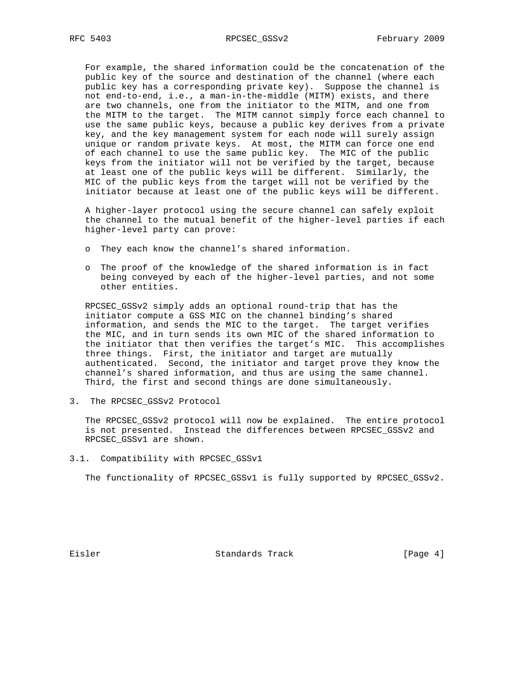For example, the shared information could be the concatenation of the public key of the source and destination of the channel (where each public key has a corresponding private key). Suppose the channel is not end-to-end, i.e., a man-in-the-middle (MITM) exists, and there are two channels, one from the initiator to the MITM, and one from the MITM to the target. The MITM cannot simply force each channel to use the same public keys, because a public key derives from a private key, and the key management system for each node will surely assign unique or random private keys. At most, the MITM can force one end of each channel to use the same public key. The MIC of the public keys from the initiator will not be verified by the target, because at least one of the public keys will be different. Similarly, the MIC of the public keys from the target will not be verified by the initiator because at least one of the public keys will be different.

 A higher-layer protocol using the secure channel can safely exploit the channel to the mutual benefit of the higher-level parties if each higher-level party can prove:

- o They each know the channel's shared information.
- o The proof of the knowledge of the shared information is in fact being conveyed by each of the higher-level parties, and not some other entities.

 RPCSEC\_GSSv2 simply adds an optional round-trip that has the initiator compute a GSS MIC on the channel binding's shared information, and sends the MIC to the target. The target verifies the MIC, and in turn sends its own MIC of the shared information to the initiator that then verifies the target's MIC. This accomplishes three things. First, the initiator and target are mutually authenticated. Second, the initiator and target prove they know the channel's shared information, and thus are using the same channel. Third, the first and second things are done simultaneously.

3. The RPCSEC\_GSSv2 Protocol

 The RPCSEC\_GSSv2 protocol will now be explained. The entire protocol is not presented. Instead the differences between RPCSEC\_GSSv2 and RPCSEC\_GSSv1 are shown.

3.1. Compatibility with RPCSEC\_GSSv1

The functionality of RPCSEC\_GSSv1 is fully supported by RPCSEC\_GSSv2.

Eisler Standards Track [Page 4]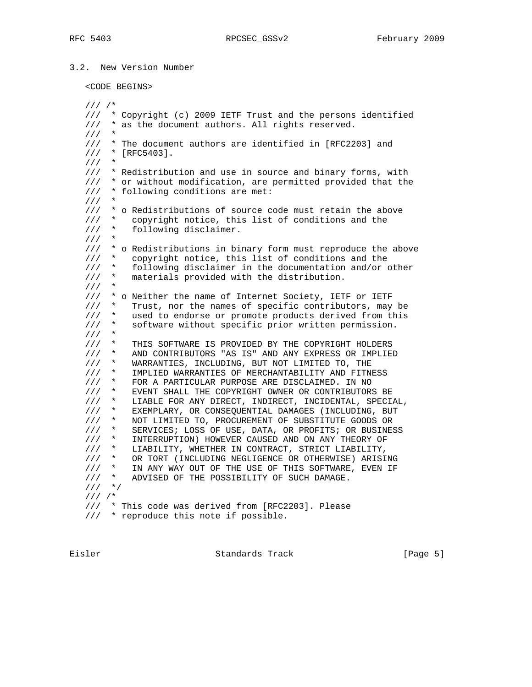# 3.2. New Version Number

#### <CODE BEGINS>

 /// /\* /// \* Copyright (c) 2009 IETF Trust and the persons identified /// \* as the document authors. All rights reserved. /// \* /// \* The document authors are identified in [RFC2203] and  $11/7$  \* [RFC5403]. /// \* /// \* Redistribution and use in source and binary forms, with /// \* or without modification, are permitted provided that the /// \* following conditions are met:  $1/1$ /// \* o Redistributions of source code must retain the above<br>/// \* copyright notice, this list of conditions and the /// \* copyright notice, this list of conditions and the<br>/// \* following disclaimer. following disclaimer.  $1/1$  /// \* o Redistributions in binary form must reproduce the above /// \* copyright notice, this list of conditions and the /// \* following disclaimer in the documentation and/or other /// \* materials provided with the distribution.  $11/$  \* /// \* o Neither the name of Internet Society, IETF or IETF /// \* Trust, nor the names of specific contributors, may be /// \* used to endorse or promote products derived from this /// \* software without specific prior written permission.  $//'$  \* /// \* THIS SOFTWARE IS PROVIDED BY THE COPYRIGHT HOLDERS /// \* AND CONTRIBUTORS "AS IS" AND ANY EXPRESS OR IMPLIED /// \* WARRANTIES, INCLUDING, BUT NOT LIMITED TO, THE /// \* IMPLIED WARRANTIES OF MERCHANTABILITY AND FITNESS /// \* FOR A PARTICULAR PURPOSE ARE DISCLAIMED. IN NO /// \* EVENT SHALL THE COPYRIGHT OWNER OR CONTRIBUTORS BE /// \* LIABLE FOR ANY DIRECT, INDIRECT, INCIDENTAL, SPECIAL, /// \* EXEMPLARY, OR CONSEQUENTIAL DAMAGES (INCLUDING, BUT /// \* NOT LIMITED TO, PROCUREMENT OF SUBSTITUTE GOODS OR /// \* SERVICES; LOSS OF USE, DATA, OR PROFITS; OR BUSINESS /// \* INTERRUPTION) HOWEVER CAUSED AND ON ANY THEORY OF /// \* LIABILITY, WHETHER IN CONTRACT, STRICT LIABILITY, /// \* OR TORT (INCLUDING NEGLIGENCE OR OTHERWISE) ARISING /// \* IN ANY WAY OUT OF THE USE OF THIS SOFTWARE, EVEN IF  $\frac{1}{10}$  \* ADVISED OF THE POSSIBILITY OF SUCH DAMAGE. ADVISED OF THE POSSIBILITY OF SUCH DAMAGE. /// \*/ /// /\* /// \* This code was derived from [RFC2203]. Please /// \* reproduce this note if possible.

Eisler Standards Track (Page 5)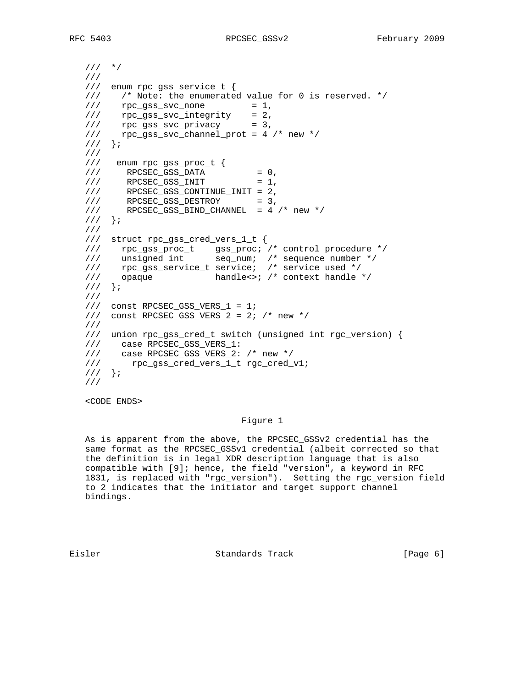```
 /// */
   ///
   /// enum rpc_gss_service_t {
  /// /* Note: the enumerated value for 0 is reserved. */<br>/// rpc_gss_svc_none = 1,
       rpc\_gss\_svc\_none = 1,
 /// rpc_gss_svc_integrity = 2,
\frac{1}{1} rpc_gss_svc_privacy = 3,
 /// rpc_gss_svc_channel_prot = 4 /* new */
   /// };
   ///
   /// enum rpc_gss_proc_t {
\frac{1}{2} RPCSEC_GSS_DATA = 0,
\frac{1}{1} RPCSEC_GSS_INIT = 1,
 /// RPCSEC_GSS_CONTINUE_INIT = 2,
\frac{1}{2} RPCSEC_GSS_DESTROY = 3,
\frac{1}{10} RPCSEC_GSS_BIND_CHANNEL = 4 /* new */
  ///};
   ///
   /// struct rpc_gss_cred_vers_1_t {
 /// rpc_gss_proc_t gss_proc; /* control procedure */
 /// unsigned int seq_num; /* sequence number */
   /// rpc_gss_service_t service; /* service used */
   /// opaque handle<>; /* context handle */
   /// };
   ///
   /// const RPCSEC_GSS_VERS_1 = 1;
  // const RPCSEC_GSS_VERS_2 = 2; /* new */ ///
   /// union rpc_gss_cred_t switch (unsigned int rgc_version) {
   /// case RPCSEC_GSS_VERS_1:
 /// case RPCSEC_GSS_VERS_2: /* new */
 /// rpc_gss_cred_vers_1_t rgc_cred_v1;
   /// };
   ///
```
<CODE ENDS>

### Figure 1

 As is apparent from the above, the RPCSEC\_GSSv2 credential has the same format as the RPCSEC\_GSSv1 credential (albeit corrected so that the definition is in legal XDR description language that is also compatible with [9]; hence, the field "version", a keyword in RFC 1831, is replaced with "rgc\_version"). Setting the rgc\_version field to 2 indicates that the initiator and target support channel bindings.

Eisler Standards Track [Page 6]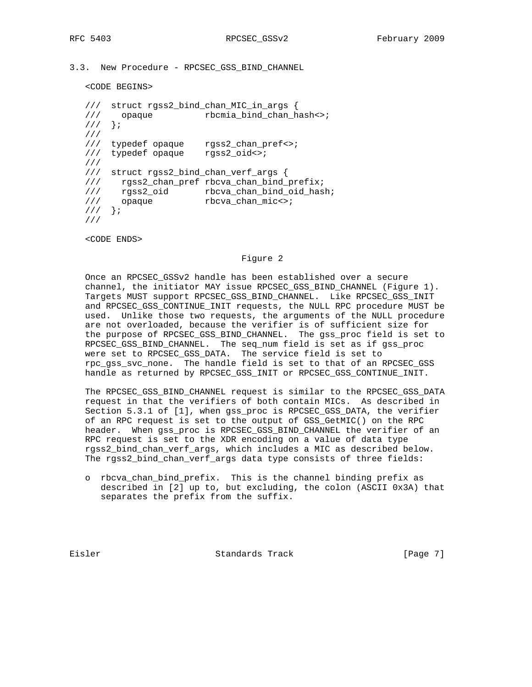```
3.3. New Procedure - RPCSEC_GSS_BIND_CHANNEL
```
<CODE BEGINS>

```
 /// struct rgss2_bind_chan_MIC_in_args {
   /// opaque rbcmia_bind_chan_hash<>;
   /// };
   ///
 /// typedef opaque rgss2_chan_pref<>;
 /// typedef opaque rgss2_oid<>;
   ///
   /// struct rgss2_bind_chan_verf_args {
   /// rgss2_chan_pref rbcva_chan_bind_prefix;
 /// rgss2_oid rbcva_chan_bind_oid_hash;
/// opaque rbcva_chan_mic<>;
  111};
   ///
```
<CODE ENDS>

#### Figure 2

 Once an RPCSEC\_GSSv2 handle has been established over a secure channel, the initiator MAY issue RPCSEC\_GSS\_BIND\_CHANNEL (Figure 1). Targets MUST support RPCSEC\_GSS\_BIND\_CHANNEL. Like RPCSEC\_GSS\_INIT and RPCSEC\_GSS\_CONTINUE\_INIT requests, the NULL RPC procedure MUST be used. Unlike those two requests, the arguments of the NULL procedure are not overloaded, because the verifier is of sufficient size for the purpose of RPCSEC\_GSS\_BIND\_CHANNEL. The gss\_proc field is set to RPCSEC\_GSS\_BIND\_CHANNEL. The seq\_num field is set as if gss\_proc were set to RPCSEC\_GSS\_DATA. The service field is set to rpc\_gss\_svc\_none. The handle field is set to that of an RPCSEC\_GSS handle as returned by RPCSEC\_GSS\_INIT or RPCSEC\_GSS\_CONTINUE\_INIT.

 The RPCSEC\_GSS\_BIND\_CHANNEL request is similar to the RPCSEC\_GSS\_DATA request in that the verifiers of both contain MICs. As described in Section 5.3.1 of [1], when gss\_proc is RPCSEC\_GSS\_DATA, the verifier of an RPC request is set to the output of GSS\_GetMIC() on the RPC header. When gss\_proc is RPCSEC\_GSS\_BIND\_CHANNEL the verifier of an RPC request is set to the XDR encoding on a value of data type rgss2\_bind\_chan\_verf\_args, which includes a MIC as described below. The rgss2\_bind\_chan\_verf\_args data type consists of three fields:

 o rbcva\_chan\_bind\_prefix. This is the channel binding prefix as described in [2] up to, but excluding, the colon (ASCII 0x3A) that separates the prefix from the suffix.

Eisler Standards Track [Page 7]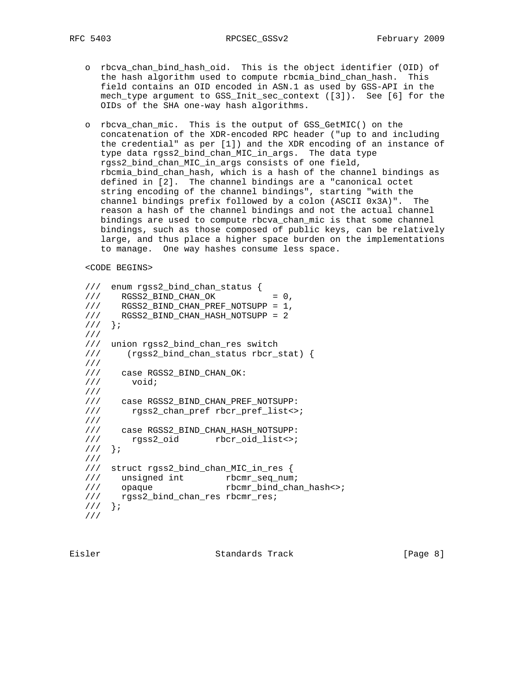- o rbcva\_chan\_bind\_hash\_oid. This is the object identifier (OID) of the hash algorithm used to compute rbcmia\_bind\_chan\_hash. This field contains an OID encoded in ASN.1 as used by GSS-API in the mech\_type argument to GSS\_Init\_sec\_context ([3]). See [6] for the OIDs of the SHA one-way hash algorithms.
- o rbcva\_chan\_mic. This is the output of GSS\_GetMIC() on the concatenation of the XDR-encoded RPC header ("up to and including the credential" as per [1]) and the XDR encoding of an instance of type data rgss2\_bind\_chan\_MIC\_in\_args. The data type rgss2\_bind\_chan\_MIC\_in\_args consists of one field, rbcmia\_bind\_chan\_hash, which is a hash of the channel bindings as defined in [2]. The channel bindings are a "canonical octet string encoding of the channel bindings", starting "with the channel bindings prefix followed by a colon (ASCII 0x3A)". The reason a hash of the channel bindings and not the actual channel bindings are used to compute rbcva\_chan\_mic is that some channel bindings, such as those composed of public keys, can be relatively large, and thus place a higher space burden on the implementations to manage. One way hashes consume less space.

<CODE BEGINS>

```
 /// enum rgss2_bind_chan_status {
\frac{1}{10} RGSS2_BIND_CHAN_OK = 0,
///      RGSS2_BIND_CHAN_PREF_NOTSUPP = 1,<br>///      RGSS2_BIND_CHAN_HASH_NOTSUPP = 2
    RGSS2_BIND_CHAN_HASH_NOTSUPP = 2
 /// };
 ///
 /// union rgss2_bind_chan_res switch
 /// (rgss2_bind_chan_status rbcr_stat) {
 ///
 /// case RGSS2_BIND_CHAN_OK:
 /// void;
 ///
 /// case RGSS2_BIND_CHAN_PREF_NOTSUPP:
 /// rgss2_chan_pref rbcr_pref_list<>;
 ///
 /// case RGSS2_BIND_CHAN_HASH_NOTSUPP:
 /// rgss2_oid rbcr_oid_list<>;
111 } ;
 ///
 /// struct rgss2_bind_chan_MIC_in_res {
 /// unsigned int rbcmr_seq_num;
 /// opaque rbcmr_bind_chan_hash<>;
 /// rgss2_bind_chan_res rbcmr_res;
 /// };
 ///
```
Eisler Standards Track [Page 8]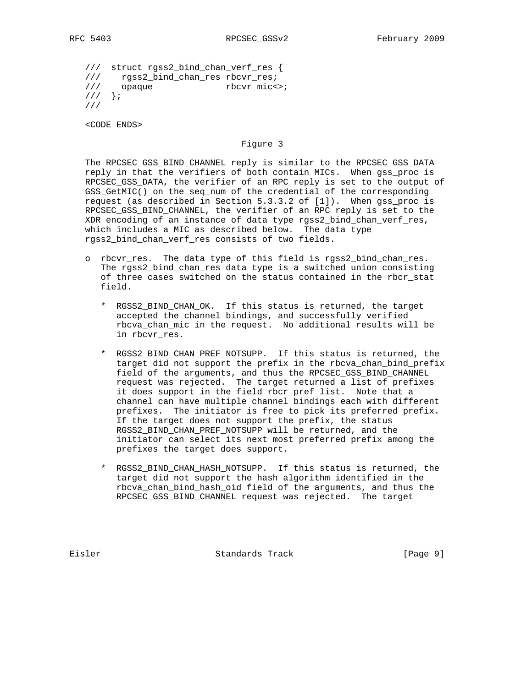/// struct rgss2\_bind\_chan\_verf\_res { /// rgss2\_bind\_chan\_res rbcvr\_res; /// opaque rbcvr\_mic<>;  $\frac{1}{11}$  }; ///

<CODE ENDS>

## Figure 3

 The RPCSEC\_GSS\_BIND\_CHANNEL reply is similar to the RPCSEC\_GSS\_DATA reply in that the verifiers of both contain MICs. When gss\_proc is RPCSEC\_GSS\_DATA, the verifier of an RPC reply is set to the output of GSS\_GetMIC() on the seq\_num of the credential of the corresponding request (as described in Section 5.3.3.2 of [1]). When gss\_proc is RPCSEC\_GSS\_BIND\_CHANNEL, the verifier of an RPC reply is set to the XDR encoding of an instance of data type rgss2\_bind\_chan\_verf\_res, which includes a MIC as described below. The data type rgss2\_bind\_chan\_verf\_res consists of two fields.

- o rbcvr\_res. The data type of this field is rgss2\_bind\_chan\_res. The rgss2\_bind\_chan\_res data type is a switched union consisting of three cases switched on the status contained in the rbcr\_stat field.
- \* RGSS2\_BIND\_CHAN\_OK. If this status is returned, the target accepted the channel bindings, and successfully verified rbcva\_chan\_mic in the request. No additional results will be in rbcvr\_res.
	- \* RGSS2\_BIND\_CHAN\_PREF\_NOTSUPP. If this status is returned, the target did not support the prefix in the rbcva\_chan\_bind\_prefix field of the arguments, and thus the RPCSEC\_GSS\_BIND\_CHANNEL request was rejected. The target returned a list of prefixes it does support in the field rbcr\_pref\_list. Note that a channel can have multiple channel bindings each with different prefixes. The initiator is free to pick its preferred prefix. If the target does not support the prefix, the status RGSS2\_BIND\_CHAN\_PREF\_NOTSUPP will be returned, and the initiator can select its next most preferred prefix among the prefixes the target does support.
	- \* RGSS2\_BIND\_CHAN\_HASH\_NOTSUPP. If this status is returned, the target did not support the hash algorithm identified in the rbcva\_chan\_bind\_hash\_oid field of the arguments, and thus the RPCSEC\_GSS\_BIND\_CHANNEL request was rejected. The target

Eisler Standards Track [Page 9]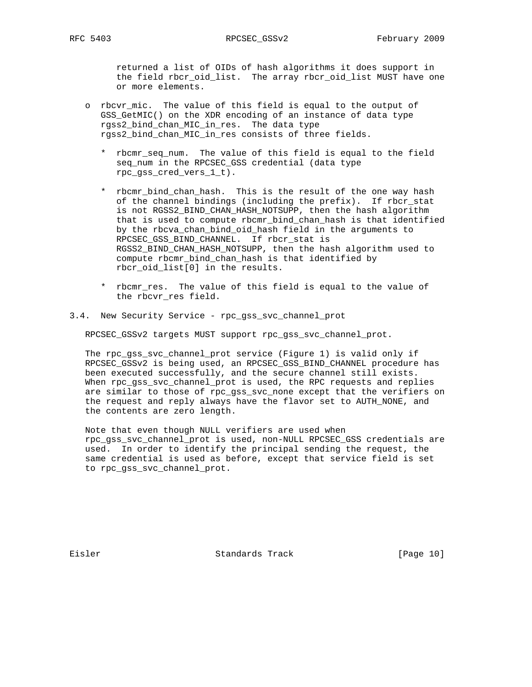returned a list of OIDs of hash algorithms it does support in the field rbcr\_oid\_list. The array rbcr\_oid\_list MUST have one or more elements.

- o rbcvr\_mic. The value of this field is equal to the output of GSS\_GetMIC() on the XDR encoding of an instance of data type rgss2\_bind\_chan\_MIC\_in\_res. The data type rgss2\_bind\_chan\_MIC\_in\_res consists of three fields.
	- \* rbcmr\_seq\_num. The value of this field is equal to the field seq\_num in the RPCSEC\_GSS credential (data type rpc\_gss\_cred\_vers\_1\_t).
	- \* rbcmr\_bind\_chan\_hash. This is the result of the one way hash of the channel bindings (including the prefix). If rbcr\_stat is not RGSS2 BIND CHAN HASH NOTSUPP, then the hash algorithm that is used to compute rbcmr\_bind\_chan\_hash is that identified by the rbcva\_chan\_bind\_oid\_hash field in the arguments to RPCSEC\_GSS\_BIND\_CHANNEL. If rbcr\_stat is RGSS2\_BIND\_CHAN\_HASH\_NOTSUPP, then the hash algorithm used to compute rbcmr\_bind\_chan\_hash is that identified by rbcr\_oid\_list[0] in the results.
	- \* rbcmr\_res. The value of this field is equal to the value of the rbcvr\_res field.
- 3.4. New Security Service rpc\_gss\_svc\_channel\_prot

RPCSEC\_GSSv2 targets MUST support rpc\_gss\_svc\_channel\_prot.

 The rpc\_gss\_svc\_channel\_prot service (Figure 1) is valid only if RPCSEC\_GSSv2 is being used, an RPCSEC\_GSS\_BIND\_CHANNEL procedure has been executed successfully, and the secure channel still exists. When rpc\_gss\_svc\_channel\_prot is used, the RPC requests and replies are similar to those of rpc\_gss\_svc\_none except that the verifiers on the request and reply always have the flavor set to AUTH\_NONE, and the contents are zero length.

 Note that even though NULL verifiers are used when rpc\_gss\_svc\_channel\_prot is used, non-NULL RPCSEC\_GSS credentials are used. In order to identify the principal sending the request, the same credential is used as before, except that service field is set to rpc\_gss\_svc\_channel\_prot.

Eisler Standards Track [Page 10]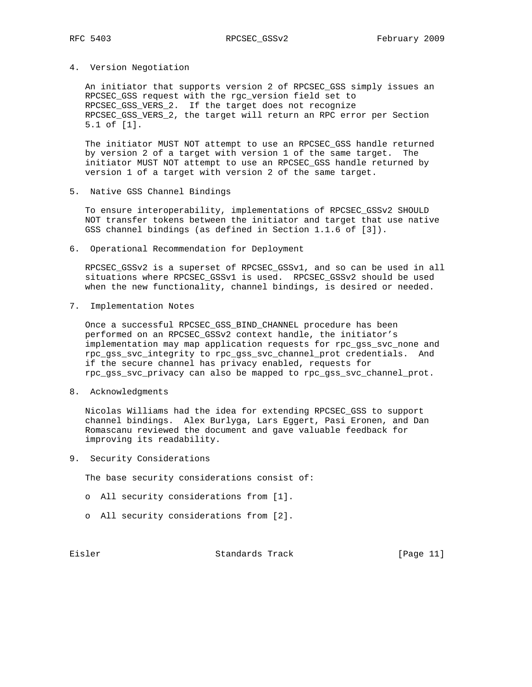### 4. Version Negotiation

 An initiator that supports version 2 of RPCSEC\_GSS simply issues an RPCSEC\_GSS request with the rgc\_version field set to RPCSEC\_GSS\_VERS\_2. If the target does not recognize RPCSEC\_GSS\_VERS\_2, the target will return an RPC error per Section 5.1 of [1].

 The initiator MUST NOT attempt to use an RPCSEC\_GSS handle returned by version 2 of a target with version 1 of the same target. The initiator MUST NOT attempt to use an RPCSEC\_GSS handle returned by version 1 of a target with version 2 of the same target.

5. Native GSS Channel Bindings

 To ensure interoperability, implementations of RPCSEC\_GSSv2 SHOULD NOT transfer tokens between the initiator and target that use native GSS channel bindings (as defined in Section 1.1.6 of [3]).

6. Operational Recommendation for Deployment

 RPCSEC\_GSSv2 is a superset of RPCSEC\_GSSv1, and so can be used in all situations where RPCSEC\_GSSv1 is used. RPCSEC\_GSSv2 should be used when the new functionality, channel bindings, is desired or needed.

7. Implementation Notes

Once a successful RPCSEC GSS BIND CHANNEL procedure has been performed on an RPCSEC\_GSSv2 context handle, the initiator's implementation may map application requests for rpc\_gss\_svc\_none and rpc\_gss\_svc\_integrity to rpc\_gss\_svc\_channel\_prot credentials. And if the secure channel has privacy enabled, requests for rpc\_gss\_svc\_privacy can also be mapped to rpc\_gss\_svc\_channel\_prot.

8. Acknowledgments

 Nicolas Williams had the idea for extending RPCSEC\_GSS to support channel bindings. Alex Burlyga, Lars Eggert, Pasi Eronen, and Dan Romascanu reviewed the document and gave valuable feedback for improving its readability.

9. Security Considerations

The base security considerations consist of:

- o All security considerations from [1].
- o All security considerations from [2].

Eisler Standards Track [Page 11]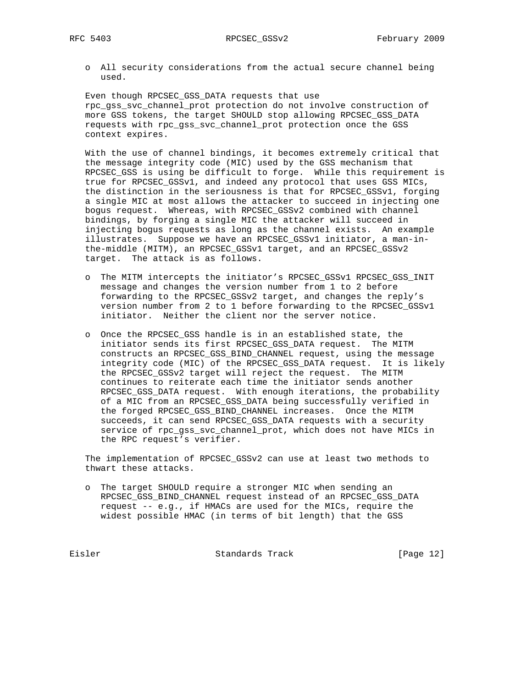o All security considerations from the actual secure channel being used.

 Even though RPCSEC\_GSS\_DATA requests that use rpc\_gss\_svc\_channel\_prot protection do not involve construction of more GSS tokens, the target SHOULD stop allowing RPCSEC\_GSS\_DATA requests with rpc\_gss\_svc\_channel\_prot protection once the GSS context expires.

 With the use of channel bindings, it becomes extremely critical that the message integrity code (MIC) used by the GSS mechanism that RPCSEC\_GSS is using be difficult to forge. While this requirement is true for RPCSEC\_GSSv1, and indeed any protocol that uses GSS MICs, the distinction in the seriousness is that for RPCSEC\_GSSv1, forging a single MIC at most allows the attacker to succeed in injecting one bogus request. Whereas, with RPCSEC\_GSSv2 combined with channel bindings, by forging a single MIC the attacker will succeed in injecting bogus requests as long as the channel exists. An example illustrates. Suppose we have an RPCSEC\_GSSv1 initiator, a man-in the-middle (MITM), an RPCSEC\_GSSv1 target, and an RPCSEC\_GSSv2 target. The attack is as follows.

- o The MITM intercepts the initiator's RPCSEC\_GSSv1 RPCSEC\_GSS\_INIT message and changes the version number from 1 to 2 before forwarding to the RPCSEC\_GSSv2 target, and changes the reply's version number from 2 to 1 before forwarding to the RPCSEC\_GSSv1 initiator. Neither the client nor the server notice.
- o Once the RPCSEC\_GSS handle is in an established state, the initiator sends its first RPCSEC\_GSS\_DATA request. The MITM constructs an RPCSEC\_GSS\_BIND\_CHANNEL request, using the message integrity code (MIC) of the RPCSEC\_GSS\_DATA request. It is likely the RPCSEC\_GSSv2 target will reject the request. The MITM continues to reiterate each time the initiator sends another RPCSEC\_GSS\_DATA request. With enough iterations, the probability of a MIC from an RPCSEC\_GSS\_DATA being successfully verified in the forged RPCSEC\_GSS\_BIND\_CHANNEL increases. Once the MITM succeeds, it can send RPCSEC\_GSS\_DATA requests with a security service of rpc\_gss\_svc\_channel\_prot, which does not have MICs in the RPC request's verifier.

 The implementation of RPCSEC\_GSSv2 can use at least two methods to thwart these attacks.

 o The target SHOULD require a stronger MIC when sending an RPCSEC\_GSS\_BIND\_CHANNEL request instead of an RPCSEC\_GSS\_DATA request -- e.g., if HMACs are used for the MICs, require the widest possible HMAC (in terms of bit length) that the GSS

Eisler Standards Track [Page 12]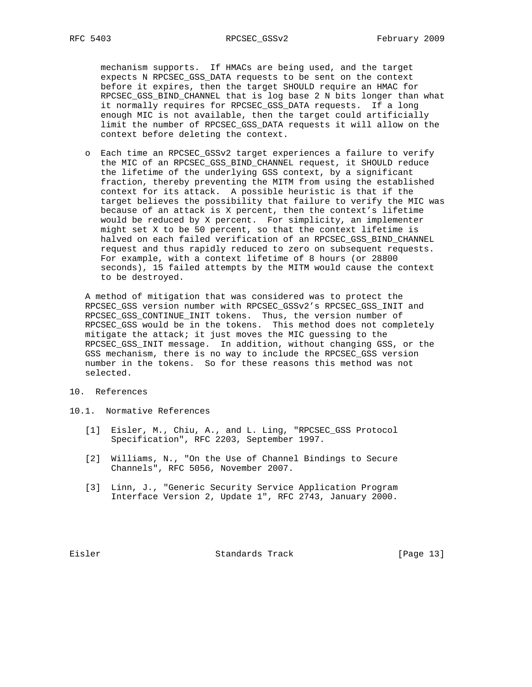mechanism supports. If HMACs are being used, and the target expects N RPCSEC\_GSS\_DATA requests to be sent on the context before it expires, then the target SHOULD require an HMAC for RPCSEC\_GSS\_BIND\_CHANNEL that is log base 2 N bits longer than what it normally requires for RPCSEC\_GSS\_DATA requests. If a long enough MIC is not available, then the target could artificially limit the number of RPCSEC\_GSS\_DATA requests it will allow on the context before deleting the context.

 o Each time an RPCSEC\_GSSv2 target experiences a failure to verify the MIC of an RPCSEC\_GSS\_BIND\_CHANNEL request, it SHOULD reduce the lifetime of the underlying GSS context, by a significant fraction, thereby preventing the MITM from using the established context for its attack. A possible heuristic is that if the target believes the possibility that failure to verify the MIC was because of an attack is X percent, then the context's lifetime would be reduced by X percent. For simplicity, an implementer might set X to be 50 percent, so that the context lifetime is halved on each failed verification of an RPCSEC\_GSS\_BIND\_CHANNEL request and thus rapidly reduced to zero on subsequent requests. For example, with a context lifetime of 8 hours (or 28800 seconds), 15 failed attempts by the MITM would cause the context to be destroyed.

 A method of mitigation that was considered was to protect the RPCSEC\_GSS version number with RPCSEC\_GSSv2's RPCSEC\_GSS\_INIT and RPCSEC\_GSS\_CONTINUE\_INIT tokens. Thus, the version number of RPCSEC\_GSS would be in the tokens. This method does not completely mitigate the attack; it just moves the MIC guessing to the RPCSEC\_GSS\_INIT message. In addition, without changing GSS, or the GSS mechanism, there is no way to include the RPCSEC\_GSS version number in the tokens. So for these reasons this method was not selected.

- 10. References
- 10.1. Normative References
	- [1] Eisler, M., Chiu, A., and L. Ling, "RPCSEC\_GSS Protocol Specification", RFC 2203, September 1997.
	- [2] Williams, N., "On the Use of Channel Bindings to Secure Channels", RFC 5056, November 2007.
	- [3] Linn, J., "Generic Security Service Application Program Interface Version 2, Update 1", RFC 2743, January 2000.

Eisler Standards Track [Page 13]